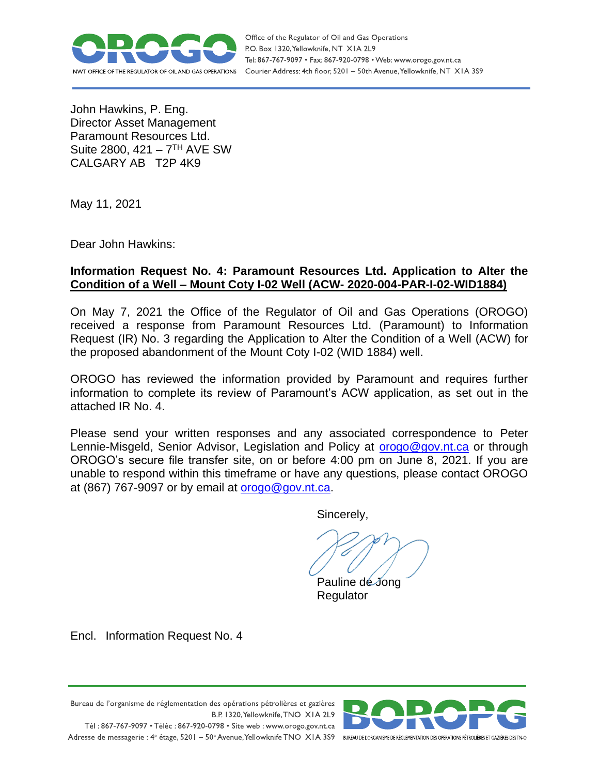

Office of the Regulator of Oil and Gas Operations P.O. Box 1320, Yellowknife, NT XIA 2L9 Tel: 867-767-9097 • Fax: 867-920-0798 • Web: www.orogo.gov.nt.ca Courier Address: 4th floor, 5201 - 50th Avenue, Yellowknife, NT XIA 3S9

John Hawkins, P. Eng. Director Asset Management Paramount Resources Ltd. Suite 2800, 421 – 7<sup>TH</sup> AVE SW CALGARY AB T2P 4K9

May 11, 2021

Dear John Hawkins:

#### **Information Request No. 4: Paramount Resources Ltd. Application to Alter the Condition of a Well – Mount Coty I-02 Well (ACW- 2020-004-PAR-I-02-WID1884)**

On May 7, 2021 the Office of the Regulator of Oil and Gas Operations (OROGO) received a response from Paramount Resources Ltd. (Paramount) to Information Request (IR) No. 3 regarding the Application to Alter the Condition of a Well (ACW) for the proposed abandonment of the Mount Coty I-02 (WID 1884) well.

OROGO has reviewed the information provided by Paramount and requires further information to complete its review of Paramount's ACW application, as set out in the attached IR No. 4.

Please send your written responses and any associated correspondence to Peter Lennie-Misgeld, Senior Advisor, Legislation and Policy at [orogo@gov.nt.ca](file:///C:/Users/pdejong/AppData/Roaming/OpenText/OTEdit/EC_content_server/c129244077/mailto_orogo@gov.nt.ca) or through OROGO's secure file transfer site, on or before 4:00 pm on June 8, 2021. If you are unable to respond within this timeframe or have any questions, please contact OROGO at (867) 767-9097 or by email at [orogo@gov.nt.ca.](file:///C:/Users/pdejong/AppData/Roaming/OpenText/OTEdit/EC_content_server/c129244077/mailto_orogo@gov.nt.ca)

Sincerely,

Pauline de Jong Regulator

Encl. Information Request No. 4



Bureau de l'organisme de réglementation des opérations pétrolières et gazières B.P. 1320, Yellowknife, TNO XIA 2L9 Tél: 867-767-9097 • Téléc: 867-920-0798 • Site web: www.orogo.gov.nt.ca Adresse de messagerie : 4<sup>e</sup> étage, 5201 - 50° Avenue, Yellowknife TNO XIA 3S9 BUREAU DEL'ORGANISME DE RÉGLEMENTATION DES OPERATIONS PÉTROLIÈRES ET GAZIÈRES DESTNO